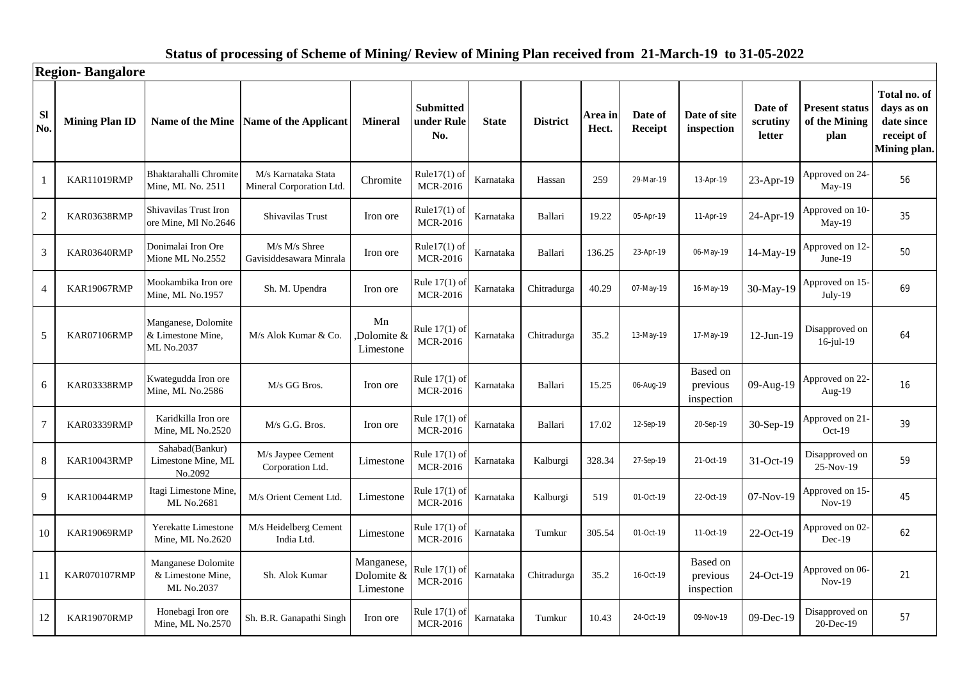### **Sl No. Mining Plan ID Name of the Mine Name of the Applicant Mineral Submitted under Rule No. State District Area in Hect. Date of Receipt Date of site inspection Date of scrutiny letter Present status of the Mining plan Total no. of days as on date since receipt of Mining plan.** 1 KAR11019RMP Bhaktarahalli Chromite Mine, ML No. 2511 M/s Karnataka Stata  $M/s$  Karnataka Stata<br>Mineral Corporation Ltd. Chromite MCR-2016 Rule17(1) of Karnataka Hassan 259 29-Mar-19 13-Apr-19 23-Apr-19 Approved on 24-<br>MCR-2016 May-19 Approved on 24-<br>May-19 56 2 KAR03638RMP Shivavilas Trust Iron ore Mine, Ml No.2646 Shivavilas Trust Iron ore Rule17(1) of Rule17(1) of Karnataka Ballari 19.22 05-Apr-19 11-Apr-19 24-Apr-19 Approved on 10-<br>MCR-2016 May-19 Approved on  $10$ -<br>May-19 35 <sup>3</sup> KAR03640RMP Donimalai Iron Ore Mione ML No.2552 M/s M/s Shree  $M/s$  M/s Shree<br>Gavisiddesawara Minrala Iron ore  $\begin{bmatrix} \text{Rule17(1) of} \\ \text{MCR-2016} \end{bmatrix}$ Rule17(1) of Karnataka Ballari 136.25 23-Apr-19 06-May-19 14-May-19 Approved on 12-<br>MCR-2016 June-19 Approved on  $12$ -<br>June-19 50 4 KAR19067RMP Mookambika Iron ore Sh. M. Upendra Iron ore Rule 17(1) of MCR-2016 Rule 17(1) of Karnataka Chitradurga 40.29 07-May-19 16-May-19 30-May-19 Approved on 15-<br>MCR-2016 July-19 Approved on 15-<br>July-19 69 5 KAR07106RMP Manganese, Dolomite & Limestone Mine, ML No.2037 M/s Alok Kumar & Co. Mn ,Dolomite & Limestone Rule 17(1) of<br>MCR-2016 Rule 17(1) of Karnataka Chitradurga 35.2 13-May-19 17-May-19 12-Jun-19  $\begin{array}{|l|c|c|c|c|c|c|c|c|}\hline \text{16-jul-19} & \text{17-jul-19} \hline \end{array}$ Disapproved on 16-jul-19 64 <sup>6</sup> KAR03338RMP Kwategudda Iron ore  $M_{\text{M}}$  Mine, ML No.2586 M/s GG Bros. Iron ore Rule 17(1) of NCR-2016  $MCR-2016$  Karnataka Ballari 15.25 06-Aug-19 Based on previous inspection 09-Aug-19 Approved on 22- Aug-19  $\left\{\n \begin{array}{c}\n 16 \\
 -24 \\
 \end{array}\n \right\}$ 7 KAR03339RMP Karidkilla Iron ore Karidkilla Iron ore M/s G.G. Bros.  $\begin{array}{|l|l|}\n\hline\n\text{Mine, ML No.2520} & \text{M/s G. G. Bros.} \\
\hline\n\end{array}$  Iron ore  $\begin{array}{|l|l|}\n\hline\n\text{Rule 17(1) o} \\
\text{MCR-2016}\n\hline\n\end{array}$ Rule 17(1) of Karnataka Ballari 17.02 12-Sep-19 20-Sep-19 30-Sep-19 Approved on 21-<br>MCR-2016 Cot-19 Approved on 21- $\begin{bmatrix} 39 \end{bmatrix}$ 8 KAR10043RMP Sahabad(Bankur) Limestone Mine, ML No.2092 M/s Jaypee Cement  $\begin{array}{c|c}\nM/s \text{ Jaypee Cement} & \text{Limensione} & \text{Rule } 17(1) \text{ or } 17(1) \text{ or } 17(1) \text{ or } 17(1) \text{ or } 17(1) \text{ or } 17(1) \text{ or } 17(1) \text{ or } 17(1) \text{ or } 17(1) \text{ or } 17(1) \text{ or } 17(1) \text{ or } 17(1) \text{ or } 17(1) \text{ or } 17(1) \text{ or } 17(1) \text{ or } 17(1) \text{ or } 17(1) \text{ or$ Rule 17(1) of Karnataka Kalburgi 328.34 27-Sep-19 21-Oct-19 31-Oct-19  $\begin{array}{|l|c|c|c|c|c|c|c|}\n\hline\n\text{MCR-2016} & \text{Karnataka} & \text{Kalburgi} & 328.34 & 27-Sep-19 & 21-Oct-19 & 31-Oct-19 & 25-Nov-19\n\hline\n\end{array}$ Disapproved on 59<br>25-Nov-19 59 9 KAR10044RMP | Itagi Limestone Mine M/s Orient Cement Ltd. Limestone Rule  $17(1)$  of MCR-2016 Rule 17(1) of Karnataka Kalburgi 519 01-Oct-19 22-Oct-19 07-Nov-19 Approved on 15-<br>MCR-2016 Nov-19 Approved on 15-<br>Nov-19 45 <sup>10</sup> KAR19069RMP Yerekatte Limestone Mine, ML No.2620 M/s Heidelberg Cement <br>India Ltd. Limestone Rule 17(1) of<br>MCR-2016 Rule 17(1) of Karnataka Tumkur 305.54 01-Oct-19 11-Oct-19 22-Oct-19 Approved on 02-<br>MCR-2016 Dec-19 Approved on 02-<br>Dec-19 62 11 KAR070107RMP Manganese Dolomite & Limestone Mine, ML No.2037 Sh. Alok Kumar Manganese, Dolomite & Limestone Rule 17(1) of MCR-2016 Karnataka Chitradurga 35.2 16-Oct-19 Based on previous inspection  $24$ -Oct-19 Approved on 06-Nov-19 21 12 KAR19070RMP Honebagi Iron ore<br>Mine, ML No.2570 Sh. B.R. Ganapathi Singh Iron ore Rule 17(1) of MCR-2016 Rule 17(1) of Karnataka Tumkur 10.43 24-Oct-19 09-Nov-19 09-Dec-19 Disapproved on MCR-2016 Disapproved on<br>20-Dec-19 57 **Region- Bangalore**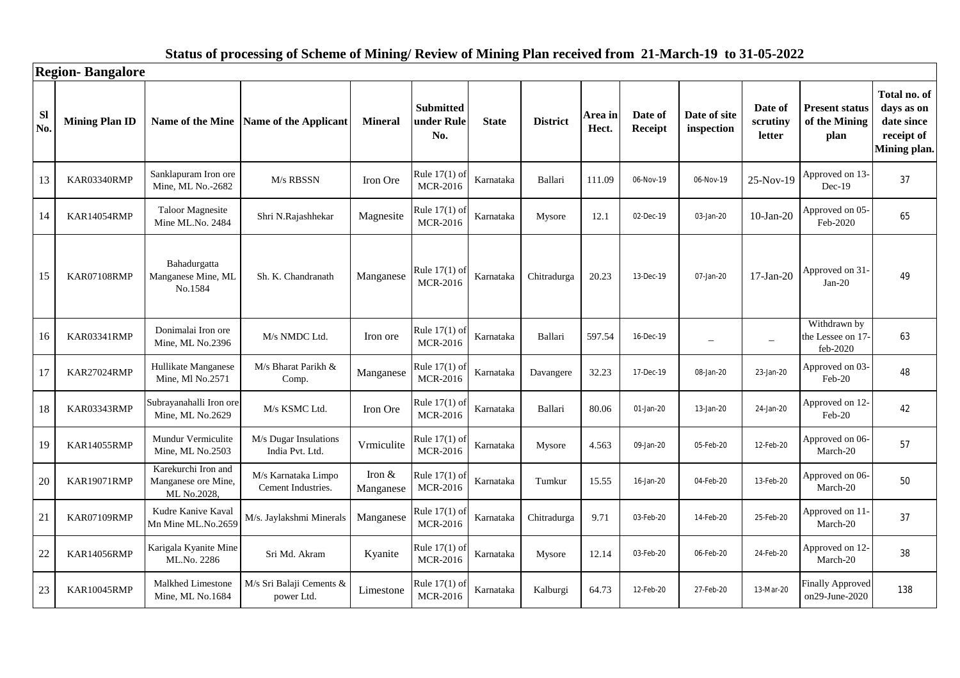|                  | <b>Region-Bangalore</b> |                                                           |                                           |                       |                                       |              |                 |                  |                    |                            |                               |                                                |                                                                        |
|------------------|-------------------------|-----------------------------------------------------------|-------------------------------------------|-----------------------|---------------------------------------|--------------|-----------------|------------------|--------------------|----------------------------|-------------------------------|------------------------------------------------|------------------------------------------------------------------------|
| <b>SI</b><br>No. | <b>Mining Plan ID</b>   |                                                           | Name of the Mine Name of the Applicant    | <b>Mineral</b>        | <b>Submitted</b><br>under Rule<br>No. | <b>State</b> | <b>District</b> | Area in<br>Hect. | Date of<br>Receipt | Date of site<br>inspection | Date of<br>scrutiny<br>letter | <b>Present status</b><br>of the Mining<br>plan | Total no. of<br>days as on<br>date since<br>receipt of<br>Mining plan. |
| 13               | KAR03340RMP             | Sanklapuram Iron ore<br>Mine, ML No.-2682                 | M/s RBSSN                                 | Iron Ore              | Rule 17(1) of<br>MCR-2016             | Karnataka    | Ballari         | 111.09           | 06-Nov-19          | 06-Nov-19                  | 25-Nov-19                     | Approved on 13-<br>$Dec-19$                    | 37                                                                     |
| 14               | KAR14054RMP             | <b>Taloor Magnesite</b><br>Mine ML.No. 2484               | Shri N.Rajashhekar                        | Magnesite             | Rule 17(1) of<br>MCR-2016             | Karnataka    | Mysore          | 12.1             | 02-Dec-19          | 03-Jan-20                  | $10-Jan-20$                   | Approved on 05-<br>Feb-2020                    | 65                                                                     |
| 15               | KAR07108RMP             | Bahadurgatta<br>Manganese Mine, ML<br>No.1584             | Sh. K. Chandranath                        | Manganese             | Rule 17(1) of<br><b>MCR-2016</b>      | Karnataka    | Chitradurga     | 20.23            | 13-Dec-19          | 07-Jan-20                  | $17-Jan-20$                   | Approved on 31-<br>$Jan-20$                    | 49                                                                     |
| 16               | KAR03341RMP             | Donimalai Iron ore<br>Mine, ML No.2396                    | M/s NMDC Ltd.                             | Iron ore              | Rule 17(1) of<br><b>MCR-2016</b>      | Karnataka    | Ballari         | 597.54           | 16-Dec-19          | $\equiv$                   | $\sim$                        | Withdrawn by<br>the Lessee on 17-<br>feb-2020  | 63                                                                     |
| 17               | <b>KAR27024RMP</b>      | Hullikate Manganese<br>Mine, Ml No.2571                   | M/s Bharat Parikh &<br>Comp.              | Manganese             | Rule 17(1) of<br><b>MCR-2016</b>      | Karnataka    | Davangere       | 32.23            | 17-Dec-19          | 08-Jan-20                  | 23-Jan-20                     | Approved on 03-<br>Feb-20                      | 48                                                                     |
| 18               | KAR03343RMP             | Subrayanahalli Iron ore<br>Mine, ML No.2629               | M/s KSMC Ltd.                             | Iron Ore              | Rule 17(1) of<br><b>MCR-2016</b>      | Karnataka    | Ballari         | 80.06            | 01-Jan-20          | 13-Jan-20                  | 24-Jan-20                     | Approved on 12-<br>Feb-20                      | 42                                                                     |
| 19               | <b>KAR14055RMP</b>      | Mundur Vermiculite<br>Mine, ML No.2503                    | M/s Dugar Insulations<br>India Pvt. Ltd.  | Vrmiculite            | Rule 17(1) of<br><b>MCR-2016</b>      | Karnataka    | Mysore          | 4.563            | 09-Jan-20          | 05-Feb-20                  | 12-Feb-20                     | Approved on 06-<br>March-20                    | 57                                                                     |
| 20               | <b>KAR19071RMP</b>      | Karekurchi Iron and<br>Manganese ore Mine,<br>ML No.2028, | M/s Karnataka Limpo<br>Cement Industries. | Iron $&$<br>Manganese | Rule $17(1)$ of<br><b>MCR-2016</b>    | Karnataka    | Tumkur          | 15.55            | 16-Jan-20          | 04-Feb-20                  | 13-Feb-20                     | Approved on 06-<br>March-20                    | 50                                                                     |
| 21               | KAR07109RMP             | Kudre Kanive Kaval<br>Mn Mine ML.No.2659                  | M/s. Jaylakshmi Minerals                  | Manganese             | Rule 17(1) of<br><b>MCR-2016</b>      | Karnataka    | Chitradurga     | 9.71             | 03-Feb-20          | 14-Feb-20                  | 25-Feb-20                     | Approved on 11<br>March-20                     | 37                                                                     |
| 22               | KAR14056RMP             | Karigala Kyanite Mine<br>ML.No. 2286                      | Sri Md. Akram                             | Kyanite               | Rule 17(1) of<br><b>MCR-2016</b>      | Karnataka    | Mysore          | 12.14            | 03-Feb-20          | 06-Feb-20                  | 24-Feb-20                     | Approved on 12-<br>March-20                    | 38                                                                     |
| 23               | <b>KAR10045RMP</b>      | Malkhed Limestone<br>Mine, ML No.1684                     | M/s Sri Balaji Cements &<br>power Ltd.    | Limestone             | Rule 17(1) of<br><b>MCR-2016</b>      | Karnataka    | Kalburgi        | 64.73            | 12-Feb-20          | 27-Feb-20                  | 13-Mar-20                     | <b>Finally Approved</b><br>on29-June-2020      | 138                                                                    |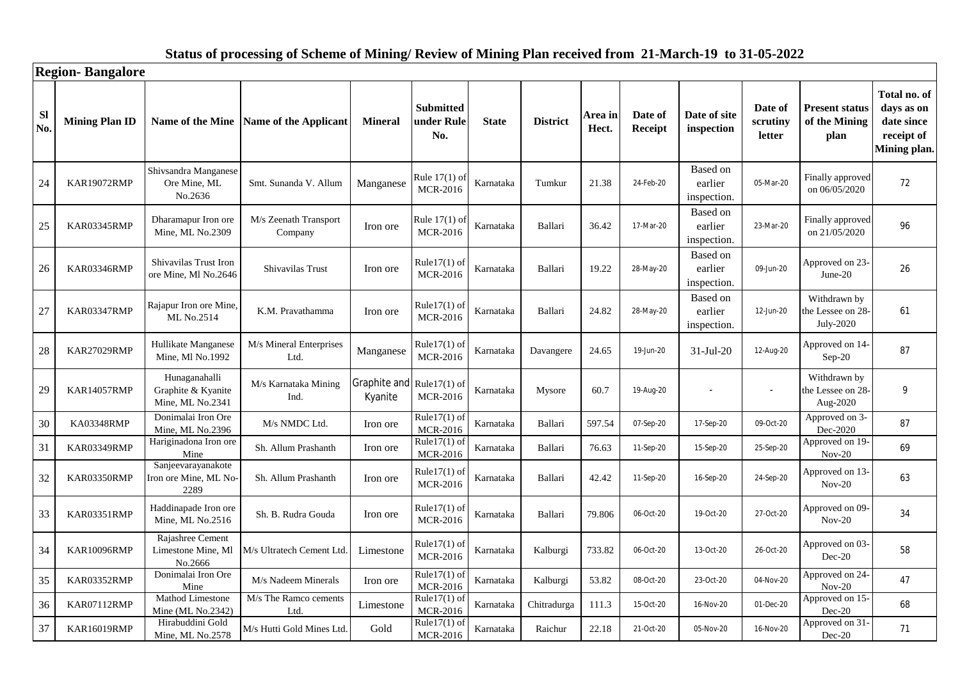|                  | <b>Region-Bangalore</b> |                                                         |                                        |                                      |                                       |              |                 |                  |                    |                                    |                               |                                                |                                                                        |
|------------------|-------------------------|---------------------------------------------------------|----------------------------------------|--------------------------------------|---------------------------------------|--------------|-----------------|------------------|--------------------|------------------------------------|-------------------------------|------------------------------------------------|------------------------------------------------------------------------|
| <b>SI</b><br>No. | <b>Mining Plan ID</b>   |                                                         | Name of the Mine Name of the Applicant | <b>Mineral</b>                       | <b>Submitted</b><br>under Rule<br>No. | <b>State</b> | <b>District</b> | Area in<br>Hect. | Date of<br>Receipt | Date of site<br>inspection         | Date of<br>scrutiny<br>letter | <b>Present status</b><br>of the Mining<br>plan | Total no. of<br>days as on<br>date since<br>receipt of<br>Mining plan. |
| 24               | <b>KAR19072RMP</b>      | Shivsandra Manganese<br>Ore Mine, ML<br>No.2636         | Smt. Sunanda V. Allum                  | Manganese                            | Rule 17(1) of<br><b>MCR-2016</b>      | Karnataka    | Tumkur          | 21.38            | 24-Feb-20          | Based on<br>earlier<br>inspection. | 05-Mar-20                     | Finally approved<br>on 06/05/2020              | 72                                                                     |
| 25               | KAR03345RMP             | Dharamapur Iron ore<br>Mine, ML No.2309                 | M/s Zeenath Transport<br>Company       | Iron ore                             | Rule 17(1) of<br><b>MCR-2016</b>      | Karnataka    | Ballari         | 36.42            | 17-Mar-20          | Based on<br>earlier<br>inspection. | 23-Mar-20                     | Finally approved<br>on 21/05/2020              | 96                                                                     |
| 26               | KAR03346RMP             | Shivavilas Trust Iron<br>ore Mine, Ml No.2646           | Shivavilas Trust                       | Iron ore                             | Rule $17(1)$ of<br><b>MCR-2016</b>    | Karnataka    | Ballari         | 19.22            | 28-May-20          | Based on<br>earlier<br>inspection. | 09-Jun-20                     | Approved on 23-<br>June-20                     | 26                                                                     |
| 27               | KAR03347RMP             | Rajapur Iron ore Mine<br>ML No.2514                     | K.M. Pravathamma                       | Iron ore                             | Rule $17(1)$ of<br><b>MCR-2016</b>    | Karnataka    | Ballari         | 24.82            | 28-May-20          | Based on<br>earlier<br>inspection. | 12-Jun-20                     | Withdrawn by<br>the Lessee on 28-<br>July-2020 | 61                                                                     |
| 28               | <b>KAR27029RMP</b>      | Hullikate Manganese<br>Mine, Ml No.1992                 | M/s Mineral Enterprises<br>Ltd.        | Manganese                            | Rule $17(1)$ of<br><b>MCR-2016</b>    | Karnataka    | Davangere       | 24.65            | 19-Jun-20          | $31-Jul-20$                        | 12-Aug-20                     | Approved on 14-<br>Sep-20                      | 87                                                                     |
| 29               | <b>KAR14057RMP</b>      | Hunaganahalli<br>Graphite & Kyanite<br>Mine, ML No.2341 | M/s Karnataka Mining<br>Ind.           | Graphite and Rule17(1) of<br>Kyanite | <b>MCR-2016</b>                       | Karnataka    | Mysore          | 60.7             | 19-Aug-20          |                                    |                               | Withdrawn by<br>the Lessee on 28-<br>Aug-2020  | 9                                                                      |
| 30               | KA03348RMP              | Donimalai Iron Ore<br>Mine, ML No.2396                  | M/s NMDC Ltd.                          | Iron ore                             | Rule17 $(1)$ of<br><b>MCR-2016</b>    | Karnataka    | <b>Ballari</b>  | 597.54           | 07-Sep-20          | 17-Sep-20                          | 09-Oct-20                     | Approved on 3-<br>Dec-2020                     | 87                                                                     |
| 31               | KAR03349RMP             | Hariginadona Iron ore<br>Mine                           | Sh. Allum Prashanth                    | Iron ore                             | Rule $17(1)$ of<br><b>MCR-2016</b>    | Karnataka    | Ballari         | 76.63            | 11-Sep-20          | 15-Sep-20                          | 25-Sep-20                     | Approved on 19-<br>$Nov-20$                    | 69                                                                     |
| 32               | KAR03350RMP             | Sanjeevarayanakote<br>Iron ore Mine, ML No<br>2289      | Sh. Allum Prashanth                    | Iron ore                             | Rule $17(1)$ of<br><b>MCR-2016</b>    | Karnataka    | Ballari         | 42.42            | 11-Sep-20          | 16-Sep-20                          | 24-Sep-20                     | Approved on 13-<br>$Nov-20$                    | 63                                                                     |
| 33               | KAR03351RMP             | Haddinapade Iron ore<br>Mine, ML No.2516                | Sh. B. Rudra Gouda                     | Iron ore                             | Rule $17(1)$ of<br><b>MCR-2016</b>    | Karnataka    | Ballari         | 79.806           | 06-Oct-20          | 19-Oct-20                          | 27-Oct-20                     | Approved on 09-<br>$Nov-20$                    | 34                                                                     |
| 34               | <b>KAR10096RMP</b>      | Rajashree Cement<br>Limestone Mine, Ml<br>No.2666       | M/s Ultratech Cement Ltd.              | Limestone                            | $Rule17(1)$ of<br><b>MCR-2016</b>     | Karnataka    | Kalburgi        | 733.82           | 06-Oct-20          | 13-Oct-20                          | 26-Oct-20                     | Approved on 03-<br>Dec-20                      | 58                                                                     |
| 35               | KAR03352RMP             | Donimalai Iron Ore<br>Mine                              | M/s Nadeem Minerals                    | Iron ore                             | Rule17 $(1)$ of<br><b>MCR-2016</b>    | Karnataka    | Kalburgi        | 53.82            | 08-Oct-20          | 23-Oct-20                          | 04-Nov-20                     | Approved on 24-<br>$Nov-20$                    | 47                                                                     |
| 36               | KAR07112RMP             | Mathod Limestone<br>Mine (ML No.2342)                   | M/s The Ramco cements<br>Ltd.          | Limestone                            | Rule $17(1)$ of<br><b>MCR-2016</b>    | Karnataka    | Chitradurga     | 111.3            | 15-Oct-20          | 16-Nov-20                          | 01-Dec-20                     | Approved on 15-<br>Dec-20                      | 68                                                                     |
| 37               | <b>KAR16019RMP</b>      | Hirabuddini Gold<br>Mine, ML No.2578                    | M/s Hutti Gold Mines Ltd.              | Gold                                 | Rule $17(1)$ of<br><b>MCR-2016</b>    | Karnataka    | Raichur         | 22.18            | 21-Oct-20          | 05-Nov-20                          | 16-Nov-20                     | Approved on 31-<br>Dec-20                      | 71                                                                     |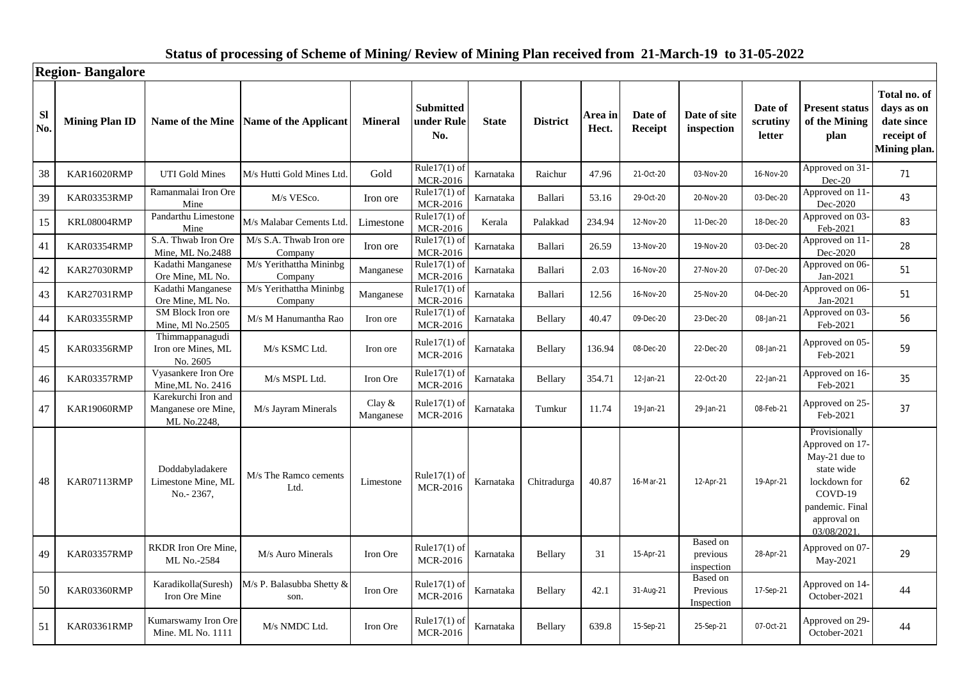|                  | <b>Region-Bangalore</b> |                                                           |                                        |                        |                                       |              |                 |                  |                    |                                    |                                      |                                                                                                                                            |                                                                        |
|------------------|-------------------------|-----------------------------------------------------------|----------------------------------------|------------------------|---------------------------------------|--------------|-----------------|------------------|--------------------|------------------------------------|--------------------------------------|--------------------------------------------------------------------------------------------------------------------------------------------|------------------------------------------------------------------------|
| <b>SI</b><br>No. | <b>Mining Plan ID</b>   |                                                           | Name of the Mine Name of the Applicant | <b>Mineral</b>         | <b>Submitted</b><br>under Rule<br>No. | <b>State</b> | <b>District</b> | Area in<br>Hect. | Date of<br>Receipt | Date of site<br>inspection         | Date of<br>scrutiny<br><b>letter</b> | <b>Present status</b><br>of the Mining<br>plan                                                                                             | Total no. of<br>days as on<br>date since<br>receipt of<br>Mining plan. |
| 38               | <b>KAR16020RMP</b>      | <b>UTI Gold Mines</b>                                     | M/s Hutti Gold Mines Ltd.              | Gold                   | Rule17 $(1)$ of<br><b>MCR-2016</b>    | Karnataka    | Raichur         | 47.96            | 21-Oct-20          | 03-Nov-20                          | 16-Nov-20                            | Approved on 31-<br>Dec-20                                                                                                                  | 71                                                                     |
| 39               | KAR03353RMP             | Ramanmalai Iron Ore<br>Mine                               | M/s VESco.                             | Iron ore               | Rule $17(1)$ of<br><b>MCR-2016</b>    | Karnataka    | Ballari         | 53.16            | 29-Oct-20          | 20-Nov-20                          | 03-Dec-20                            | Approved on 11<br>Dec-2020                                                                                                                 | 43                                                                     |
| 15               | KRL08004RMP             | Pandarthu Limestone<br>Mine                               | M/s Malabar Cements Ltd                | Limestone              | $Rule17(1)$ of<br>MCR-2016            | Kerala       | Palakkad        | 234.94           | 12-Nov-20          | 11-Dec-20                          | 18-Dec-20                            | Approved on 03-<br>Feb-2021                                                                                                                | 83                                                                     |
| 41               | KAR03354RMP             | S.A. Thwab Iron Ore<br>Mine, ML No.2488                   | M/s S.A. Thwab Iron ore<br>Company     | Iron ore               | Rule $17(1)$ of<br><b>MCR-2016</b>    | Karnataka    | Ballari         | 26.59            | 13-Nov-20          | 19-Nov-20                          | 03-Dec-20                            | Approved on 11<br>Dec-2020                                                                                                                 | 28                                                                     |
| 42               | KAR27030RMP             | Kadathi Manganese<br>Ore Mine, ML No.                     | M/s Yerithattha Mininbg<br>Company     | Manganese              | Rule $17(1)$ of<br><b>MCR-2016</b>    | Karnataka    | Ballari         | 2.03             | 16-Nov-20          | 27-Nov-20                          | 07-Dec-20                            | Approved on 06-<br>Jan-2021                                                                                                                | 51                                                                     |
| 43               | KAR27031RMP             | Kadathi Manganese<br>Ore Mine, ML No.                     | M/s Yerithattha Mininbg<br>Company     | Manganese              | Rule $17(1)$ of<br><b>MCR-2016</b>    | Karnataka    | Ballari         | 12.56            | 16-Nov-20          | 25-Nov-20                          | 04-Dec-20                            | Approved on 06-<br>Jan-2021                                                                                                                | 51                                                                     |
| 44               | KAR03355RMP             | SM Block Iron ore<br>Mine, Ml No.2505                     | M/s M Hanumantha Rao                   | Iron ore               | Rule $17(1)$ of<br><b>MCR-2016</b>    | Karnataka    | Bellary         | 40.47            | 09-Dec-20          | 23-Dec-20                          | 08-Jan-21                            | Approved on 03-<br>Feb-2021                                                                                                                | 56                                                                     |
| 45               | KAR03356RMP             | Thimmappanagudi<br>Iron ore Mines, ML<br>No. 2605         | M/s KSMC Ltd.                          | Iron ore               | Rule $17(1)$ of<br><b>MCR-2016</b>    | Karnataka    | Bellary         | 136.94           | 08-Dec-20          | 22-Dec-20                          | 08-Jan-21                            | Approved on 05-<br>Feb-2021                                                                                                                | 59                                                                     |
| 46               | KAR03357RMP             | Vyasankere Iron Ore<br>Mine, ML No. 2416                  | M/s MSPL Ltd.                          | Iron Ore               | Rule $17(1)$ of<br><b>MCR-2016</b>    | Karnataka    | Bellary         | 354.71           | 12-Jan-21          | 22-Oct-20                          | 22-Jan-21                            | Approved on 16-<br>Feb-2021                                                                                                                | 35                                                                     |
| 47               | KAR19060RMP             | Karekurchi Iron and<br>Manganese ore Mine,<br>ML No.2248, | M/s Jayram Minerals                    | Clay $\&$<br>Manganese | Rule $17(1)$ of<br><b>MCR-2016</b>    | Karnataka    | Tumkur          | 11.74            | 19-Jan-21          | 29-Jan-21                          | 08-Feb-21                            | Approved on 25-<br>Feb-2021                                                                                                                | 37                                                                     |
| 48               | KAR07113RMP             | Doddabyladakere<br>Limestone Mine, ML<br>No.-2367,        | M/s The Ramco cements<br>Ltd.          | Limestone              | Rule $17(1)$ of<br><b>MCR-2016</b>    | Karnataka    | Chitradurga     | 40.87            | 16-Mar-21          | 12-Apr-21                          | 19-Apr-21                            | Provisionally<br>Approved on 17-<br>May-21 due to<br>state wide<br>lockdown for<br>COVD-19<br>pandemic. Final<br>approval on<br>03/08/2021 | 62                                                                     |
| 49               | KAR03357RMP             | <b>RKDR</b> Iron Ore Mine.<br>ML No.-2584                 | M/s Auro Minerals                      | Iron Ore               | Rule $17(1)$ of<br>MCR-2016           | Karnataka    | <b>Bellary</b>  | 31               | 15-Apr-21          | Based on<br>previous<br>inspection | 28-Apr-21                            | Approved on 07-<br>May-2021                                                                                                                | 29                                                                     |
| 50               | KAR03360RMP             | Karadikolla(Suresh)<br>Iron Ore Mine                      | M/s P. Balasubba Shetty &<br>son.      | Iron Ore               | Rule $17(1)$ of<br>MCR-2016           | Karnataka    | Bellary         | 42.1             | 31-Aug-21          | Based on<br>Previous<br>Inspection | 17-Sep-21                            | Approved on 14-<br>October-2021                                                                                                            | 44                                                                     |
| 51               | KAR03361RMP             | Kumarswamy Iron Ore<br>Mine. ML No. 1111                  | M/s NMDC Ltd.                          | Iron Ore               | Rule $17(1)$ of<br><b>MCR-2016</b>    | Karnataka    | Bellary         | 639.8            | 15-Sep-21          | 25-Sep-21                          | 07-Oct-21                            | Approved on 29-<br>October-2021                                                                                                            | 44                                                                     |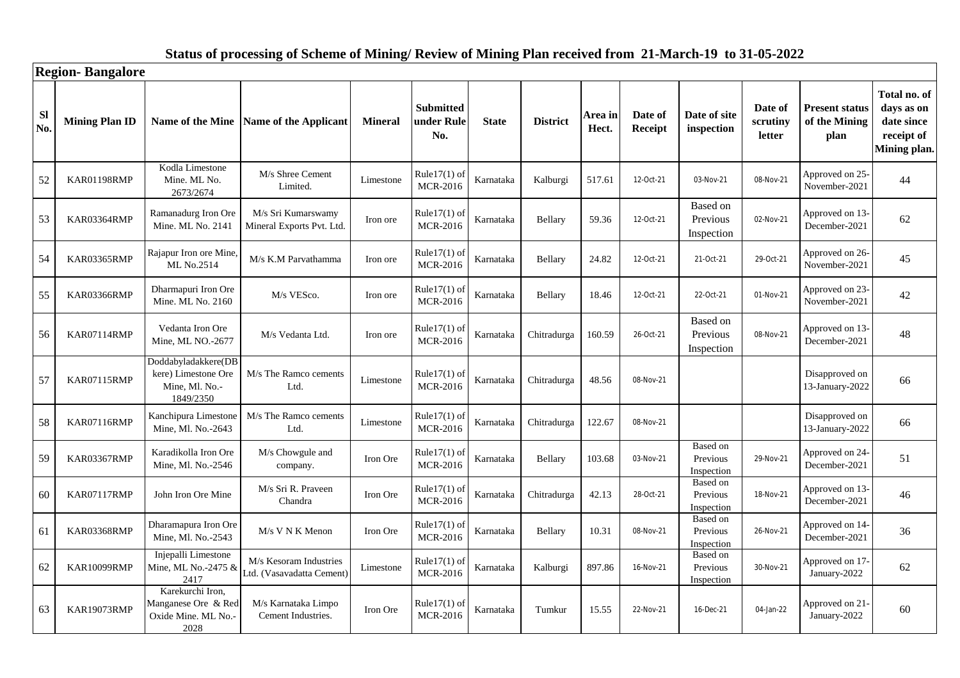|                  | <b>Region-Bangalore</b> |                                                                           |                                                     |                |                                       |              |                 |                  |                    |                                    |                               |                                                |                                                                        |
|------------------|-------------------------|---------------------------------------------------------------------------|-----------------------------------------------------|----------------|---------------------------------------|--------------|-----------------|------------------|--------------------|------------------------------------|-------------------------------|------------------------------------------------|------------------------------------------------------------------------|
| <b>Sl</b><br>No. | <b>Mining Plan ID</b>   | Name of the Mine                                                          | <b>Name of the Applicant</b>                        | <b>Mineral</b> | <b>Submitted</b><br>under Rule<br>No. | <b>State</b> | <b>District</b> | Area in<br>Hect. | Date of<br>Receipt | Date of site<br>inspection         | Date of<br>scrutiny<br>letter | <b>Present status</b><br>of the Mining<br>plan | Total no. of<br>days as on<br>date since<br>receipt of<br>Mining plan. |
| 52               | KAR01198RMP             | Kodla Limestone<br>Mine. ML No.<br>2673/2674                              | M/s Shree Cement<br>Limited.                        | Limestone      | Rule $17(1)$ of<br><b>MCR-2016</b>    | Karnataka    | Kalburgi        | 517.61           | 12-Oct-21          | 03-Nov-21                          | 08-Nov-21                     | Approved on 25-<br>November-2021               | 44                                                                     |
| 53               | KAR03364RMP             | Ramanadurg Iron Ore<br>Mine. ML No. 2141                                  | M/s Sri Kumarswamy<br>Mineral Exports Pvt. Ltd.     | Iron ore       | Rule $17(1)$ of<br><b>MCR-2016</b>    | Karnataka    | Bellary         | 59.36            | 12-Oct-21          | Based on<br>Previous<br>Inspection | 02-Nov-21                     | Approved on 13-<br>December-2021               | 62                                                                     |
| 54               | KAR03365RMP             | Rajapur Iron ore Mine.<br>ML No.2514                                      | M/s K.M Parvathamma                                 | Iron ore       | Rule $17(1)$ of<br>MCR-2016           | Karnataka    | Bellary         | 24.82            | 12-Oct-21          | 21-Oct-21                          | 29-Oct-21                     | Approved on 26-<br>November-2021               | 45                                                                     |
| 55               | KAR03366RMP             | Dharmapuri Iron Ore<br>Mine. ML No. 2160                                  | M/s VESco.                                          | Iron ore       | Rule $17(1)$ of<br><b>MCR-2016</b>    | Karnataka    | Bellary         | 18.46            | 12-Oct-21          | 22-Oct-21                          | 01-Nov-21                     | Approved on 23-<br>November-2021               | 42                                                                     |
| 56               | KAR07114RMP             | Vedanta Iron Ore<br>Mine, ML NO.-2677                                     | M/s Vedanta Ltd.                                    | Iron ore       | Rule $17(1)$ of<br>MCR-2016           | Karnataka    | Chitradurga     | 160.59           | 26-Oct-21          | Based on<br>Previous<br>Inspection | 08-Nov-21                     | Approved on 13-<br>December-2021               | 48                                                                     |
| 57               | KAR07115RMP             | Doddabyladakkere(DB<br>kere) Limestone Ore<br>Mine, Ml. No.-<br>1849/2350 | M/s The Ramco cements<br>Ltd.                       | Limestone      | Rule $17(1)$ of<br><b>MCR-2016</b>    | Karnataka    | Chitradurga     | 48.56            | 08-Nov-21          |                                    |                               | Disapproved on<br>13-January-2022              | 66                                                                     |
| 58               | <b>KAR07116RMP</b>      | Kanchipura Limestone<br>Mine, Ml. No.-2643                                | M/s The Ramco cements<br>Ltd.                       | Limestone      | Rule $17(1)$ of<br><b>MCR-2016</b>    | Karnataka    | Chitradurga     | 122.67           | 08-Nov-21          |                                    |                               | Disapproved on<br>13-January-2022              | 66                                                                     |
| 59               | KAR03367RMP             | Karadikolla Iron Ore<br>Mine, Ml. No.-2546                                | M/s Chowgule and<br>company.                        | Iron Ore       | Rule $17(1)$ of<br><b>MCR-2016</b>    | Karnataka    | <b>Bellary</b>  | 103.68           | 03-Nov-21          | Based on<br>Previous<br>Inspection | 29-Nov-21                     | Approved on 24-<br>December-2021               | 51                                                                     |
| 60               | KAR07117RMP             | John Iron Ore Mine                                                        | M/s Sri R. Praveen<br>Chandra                       | Iron Ore       | Rule $17(1)$ of<br><b>MCR-2016</b>    | Karnataka    | Chitradurga     | 42.13            | 28-Oct-21          | Based on<br>Previous<br>Inspection | 18-Nov-21                     | Approved on 13-<br>December-2021               | 46                                                                     |
| 61               | KAR03368RMP             | Dharamapura Iron Ore<br>Mine, Ml. No.-2543                                | $M/s$ V N K Menon                                   | Iron Ore       | Rule $17(1)$ of<br>MCR-2016           | Karnataka    | Bellary         | 10.31            | 08-Nov-21          | Based on<br>Previous<br>Inspection | 26-Nov-21                     | Approved on 14-<br>December-2021               | 36                                                                     |
| 62               | KAR10099RMP             | Injepalli Limestone<br>Mine, ML No.-2475 &<br>2417                        | M/s Kesoram Industries<br>Ltd. (Vasavadatta Cement) | Limestone      | $Rule17(1)$ of<br><b>MCR-2016</b>     | Karnataka    | Kalburgi        | 897.86           | 16-Nov-21          | Based on<br>Previous<br>Inspection | 30-Nov-21                     | Approved on 17<br>January-2022                 | 62                                                                     |
| 63               | KAR19073RMP             | Karekurchi Iron,<br>Manganese Ore & Red<br>Oxide Mine. ML No.<br>2028     | M/s Karnataka Limpo<br>Cement Industries.           | Iron Ore       | Rule $17(1)$ of<br><b>MCR-2016</b>    | Karnataka    | Tumkur          | 15.55            | 22-Nov-21          | 16-Dec-21                          | 04-Jan-22                     | Approved on 21.<br>January-2022                | 60                                                                     |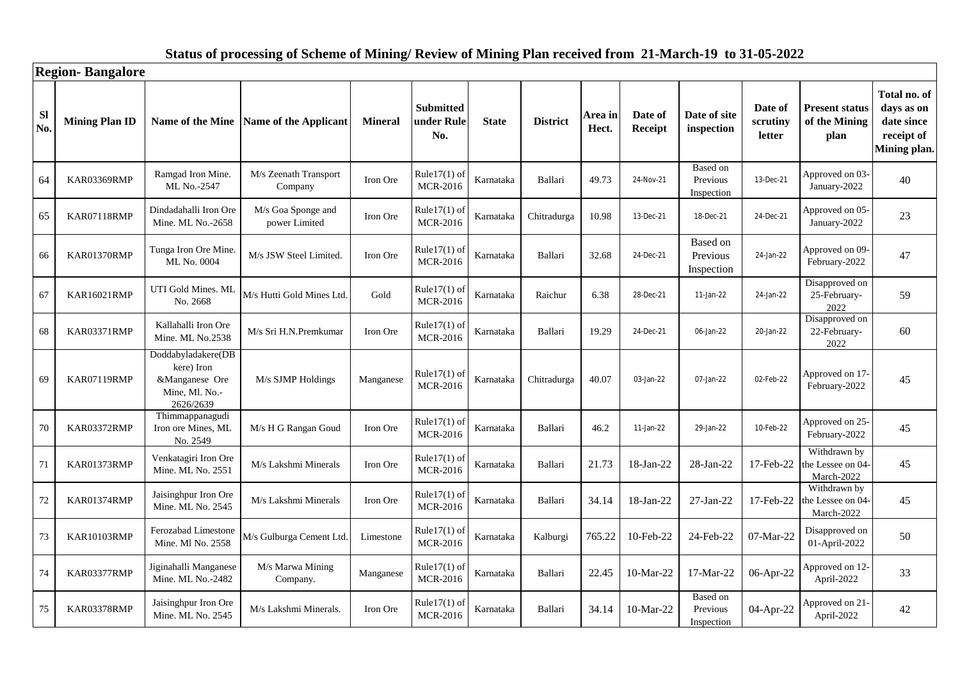|                  | <b>Region-Bangalore</b> |                                                                                   |                                        |                |                                       |              |                 |                  |                    |                                    |                               |                                                 |                                                                        |
|------------------|-------------------------|-----------------------------------------------------------------------------------|----------------------------------------|----------------|---------------------------------------|--------------|-----------------|------------------|--------------------|------------------------------------|-------------------------------|-------------------------------------------------|------------------------------------------------------------------------|
| <b>Sl</b><br>No. | <b>Mining Plan ID</b>   |                                                                                   | Name of the Mine Name of the Applicant | <b>Mineral</b> | <b>Submitted</b><br>under Rule<br>No. | <b>State</b> | <b>District</b> | Area in<br>Hect. | Date of<br>Receipt | Date of site<br>inspection         | Date of<br>scrutiny<br>letter | <b>Present status</b><br>of the Mining<br>plan  | Total no. of<br>days as on<br>date since<br>receipt of<br>Mining plan. |
| 64               | KAR03369RMP             | Ramgad Iron Mine.<br>ML No.-2547                                                  | M/s Zeenath Transport<br>Company       | Iron Ore       | Rule $17(1)$ of<br>MCR-2016           | Karnataka    | Ballari         | 49.73            | 24-Nov-21          | Based on<br>Previous<br>Inspection | 13-Dec-21                     | Approved on 03<br>January-2022                  | 40                                                                     |
| 65               | KAR07118RMP             | Dindadahalli Iron Ore<br>Mine. ML No.-2658                                        | M/s Goa Sponge and<br>power Limited    | Iron Ore       | Rule17(1) of<br><b>MCR-2016</b>       | Karnataka    | Chitradurga     | 10.98            | 13-Dec-21          | 18-Dec-21                          | 24-Dec-21                     | Approved on 05-<br>January-2022                 | 23                                                                     |
| 66               | KAR01370RMP             | Tunga Iron Ore Mine.<br>ML No. 0004                                               | M/s JSW Steel Limited.                 | Iron Ore       | $Rule17(1)$ of<br>MCR-2016            | Karnataka    | Ballari         | 32.68            | 24-Dec-21          | Based on<br>Previous<br>Inspection | 24-Jan-22                     | Approved on 09-<br>February-2022                | 47                                                                     |
| 67               | <b>KAR16021RMP</b>      | UTI Gold Mines. ML<br>No. 2668                                                    | M/s Hutti Gold Mines Ltd.              | Gold           | Rule $17(1)$ of<br><b>MCR-2016</b>    | Karnataka    | Raichur         | 6.38             | 28-Dec-21          | 11-Jan-22                          | 24-Jan-22                     | Disapproved on<br>25-February-<br>2022          | 59                                                                     |
| 68               | KAR03371RMP             | Kallahalli Iron Ore<br>Mine. ML No.2538                                           | M/s Sri H.N.Premkumar                  | Iron Ore       | Rule $17(1)$ of<br>MCR-2016           | Karnataka    | Ballari         | 19.29            | 24-Dec-21          | 06-Jan-22                          | 20-Jan-22                     | Disapproved on<br>22-February-<br>2022          | 60                                                                     |
| 69               | KAR07119RMP             | Doddabyladakere(DB<br>kere) Iron<br>&Manganese Ore<br>Mine, Ml. No.-<br>2626/2639 | M/s SJMP Holdings                      | Manganese      | Rule $17(1)$ of<br><b>MCR-2016</b>    | Karnataka    | Chitradurga     | 40.07            | 03-Jan-22          | 07-Jan-22                          | 02-Feb-22                     | Approved on 17-<br>February-2022                | 45                                                                     |
| 70               | KAR03372RMP             | Thimmappanagudi<br>Iron ore Mines, ML<br>No. 2549                                 | M/s H G Rangan Goud                    | Iron Ore       | Rule $17(1)$ of<br>MCR-2016           | Karnataka    | Ballari         | 46.2             | 11-Jan-22          | 29-Jan-22                          | 10-Feb-22                     | Approved on 25-<br>February-2022                | 45                                                                     |
| 71               | KAR01373RMP             | Venkatagiri Iron Ore<br>Mine. ML No. 2551                                         | M/s Lakshmi Minerals                   | Iron Ore       | Rule $17(1)$ of<br><b>MCR-2016</b>    | Karnataka    | Ballari         | 21.73            | 18-Jan-22          | $28$ -Jan- $22$                    | 17-Feb-22                     | Withdrawn by<br>the Lessee on 04-<br>March-2022 | 45                                                                     |
| $72\,$           | KAR01374RMP             | Jaisinghpur Iron Ore<br>Mine. ML No. 2545                                         | M/s Lakshmi Minerals                   | Iron Ore       | Rule $17(1)$ of<br><b>MCR-2016</b>    | Karnataka    | Ballari         | 34.14            | 18-Jan-22          | $27$ -Jan- $22$                    | 17-Feb-22                     | Withdrawn by<br>the Lessee on 04-<br>March-2022 | 45                                                                     |
| 73               | KAR10103RMP             | Ferozabad Limestone<br>Mine. Ml No. 2558                                          | M/s Gulburga Cement Ltd.               | Limestone      | Rule $17(1)$ of<br><b>MCR-2016</b>    | Karnataka    | Kalburgi        | 765.22           | 10-Feb-22          | 24-Feb-22                          | 07-Mar-22                     | Disapproved on<br>01-April-2022                 | 50                                                                     |
| 74               | KAR03377RMP             | Jiginahalli Manganese<br>Mine. ML No.-2482                                        | M/s Marwa Mining<br>Company.           | Manganese      | Rule $17(1)$ of<br><b>MCR-2016</b>    | Karnataka    | Ballari         | 22.45            | 10-Mar-22          | 17-Mar-22                          | 06-Apr-22                     | Approved on 12-<br>April-2022                   | 33                                                                     |
| 75               | KAR03378RMP             | Jaisinghpur Iron Ore<br>Mine. ML No. 2545                                         | M/s Lakshmi Minerals.                  | Iron Ore       | Rule $17(1)$ of<br><b>MCR-2016</b>    | Karnataka    | Ballari         | 34.14            | 10-Mar-22          | Based on<br>Previous<br>Inspection | 04-Apr-22                     | Approved on 21<br>April-2022                    | 42                                                                     |